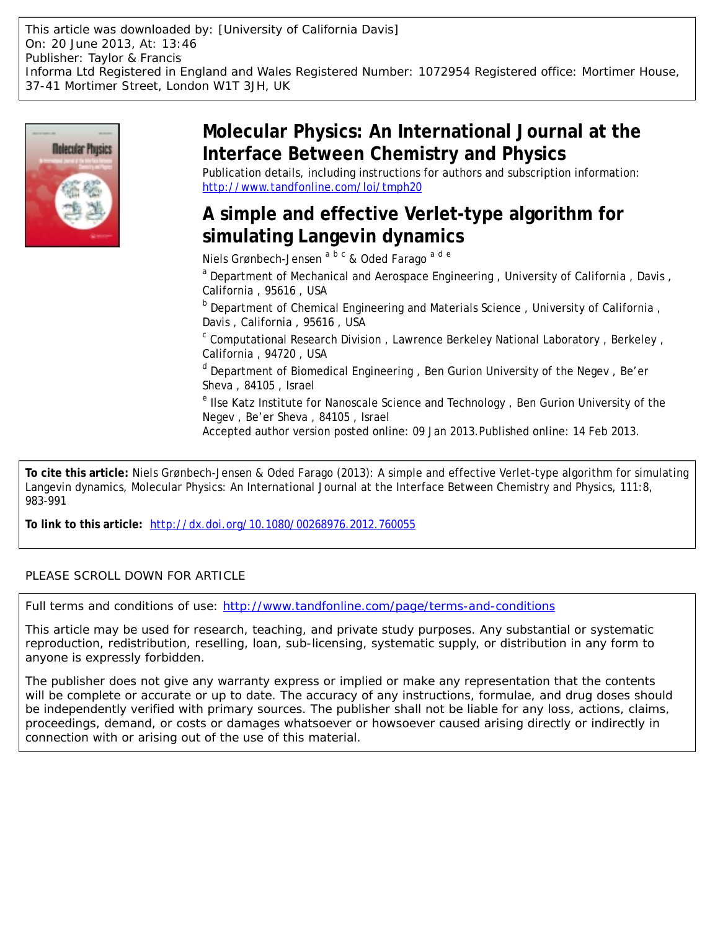

# **Molecular Physics: An International Journal at the Interface Between Chemistry and Physics**

Publication details, including instructions for authors and subscription information: <http://www.tandfonline.com/loi/tmph20>

# **A simple and effective Verlet-type algorithm for simulating Langevin dynamics**

Niels Grønbech-Jensen <sup>a b c</sup> & Oded Farago <sup>a d e</sup>

<sup>a</sup> Department of Mechanical and Aerospace Engineering, University of California, Davis, California , 95616 , USA

<sup>b</sup> Department of Chemical Engineering and Materials Science, University of California, Davis , California , 95616 , USA

<sup>c</sup> Computational Research Division, Lawrence Berkeley National Laboratory, Berkeley, California , 94720 , USA

<sup>d</sup> Department of Biomedical Engineering, Ben Gurion University of the Negev, Be'er Sheva , 84105 , Israel

<sup>e</sup> Ilse Katz Institute for Nanoscale Science and Technology, Ben Gurion University of the Negev , Be'er Sheva , 84105 , Israel

Accepted author version posted online: 09 Jan 2013.Published online: 14 Feb 2013.

**To cite this article:** Niels Grønbech-Jensen & Oded Farago (2013): A simple and effective Verlet-type algorithm for simulating Langevin dynamics, Molecular Physics: An International Journal at the Interface Between Chemistry and Physics, 111:8, 983-991

**To link to this article:** <http://dx.doi.org/10.1080/00268976.2012.760055>

# PLEASE SCROLL DOWN FOR ARTICLE

Full terms and conditions of use:<http://www.tandfonline.com/page/terms-and-conditions>

This article may be used for research, teaching, and private study purposes. Any substantial or systematic reproduction, redistribution, reselling, loan, sub-licensing, systematic supply, or distribution in any form to anyone is expressly forbidden.

The publisher does not give any warranty express or implied or make any representation that the contents will be complete or accurate or up to date. The accuracy of any instructions, formulae, and drug doses should be independently verified with primary sources. The publisher shall not be liable for any loss, actions, claims, proceedings, demand, or costs or damages whatsoever or howsoever caused arising directly or indirectly in connection with or arising out of the use of this material.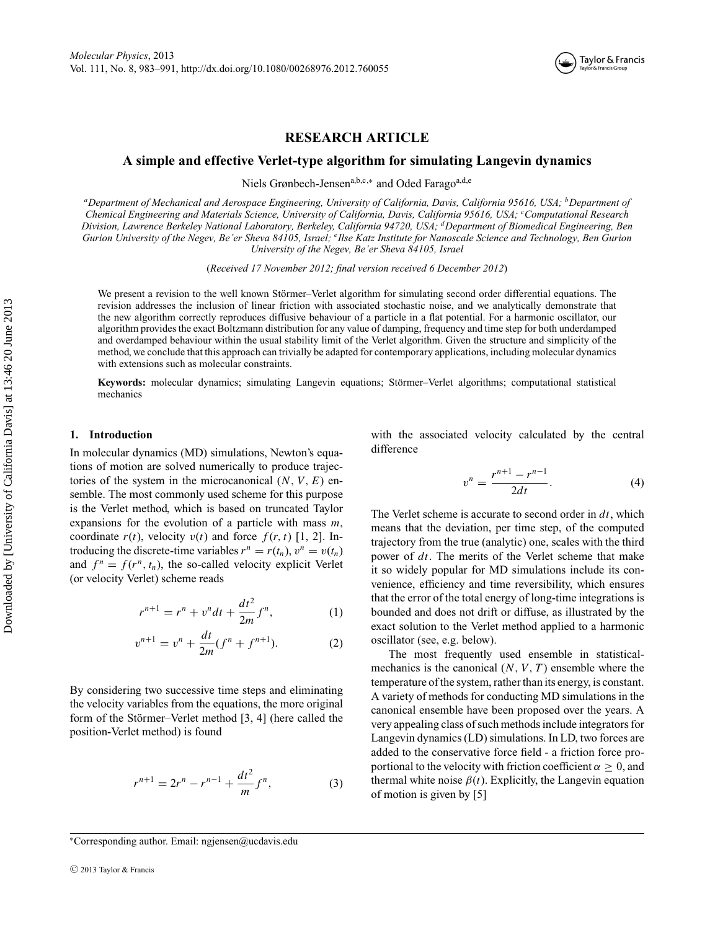

# **RESEARCH ARTICLE**

# **A simple and effective Verlet-type algorithm for simulating Langevin dynamics**

Niels Grønbech-Jensen<sup>a,b,c,∗</sup> and Oded Farago<sup>a,d,e</sup>

*aDepartment of Mechanical and Aerospace Engineering, University of California, Davis, California 95616, USA; bDepartment of Chemical Engineering and Materials Science, University of California, Davis, California 95616, USA; <sup>c</sup> Computational Research Division, Lawrence Berkeley National Laboratory, Berkeley, California 94720, USA; dDepartment of Biomedical Engineering, Ben Gurion University of the Negev, Be'er Sheva 84105, Israel; <sup>e</sup> Ilse Katz Institute for Nanoscale Science and Technology, Ben Gurion University of the Negev, Be'er Sheva 84105, Israel*

(*Received 17 November 2012; final version received 6 December 2012*)

We present a revision to the well known Störmer–Verlet algorithm for simulating second order differential equations. The revision addresses the inclusion of linear friction with associated stochastic noise, and we analytically demonstrate that the new algorithm correctly reproduces diffusive behaviour of a particle in a flat potential. For a harmonic oscillator, our algorithm provides the exact Boltzmann distribution for any value of damping, frequency and time step for both underdamped and overdamped behaviour within the usual stability limit of the Verlet algorithm. Given the structure and simplicity of the method, we conclude that this approach can trivially be adapted for contemporary applications, including molecular dynamics with extensions such as molecular constraints.

**Keywords:** molecular dynamics; simulating Langevin equations; Störmer–Verlet algorithms; computational statistical mechanics

# **1. Introduction**

In molecular dynamics (MD) simulations, Newton's equations of motion are solved numerically to produce trajectories of the system in the microcanonical  $(N, V, E)$  ensemble. The most commonly used scheme for this purpose is the Verlet method, which is based on truncated Taylor expansions for the evolution of a particle with mass *m*, coordinate  $r(t)$ , velocity  $v(t)$  and force  $f(r, t)$  [1, 2]. Introducing the discrete-time variables  $r^n = r(t_n)$ ,  $v^n = v(t_n)$ and  $f^n = f(r^n, t_n)$ , the so-called velocity explicit Verlet (or velocity Verlet) scheme reads

$$
r^{n+1} = r^n + v^n dt + \frac{dt^2}{2m} f^n,
$$
 (1)

$$
v^{n+1} = v^n + \frac{dt}{2m}(f^n + f^{n+1}).
$$
 (2)

By considering two successive time steps and eliminating the velocity variables from the equations, the more original form of the Störmer–Verlet method  $[3, 4]$  (here called the position-Verlet method) is found

$$
r^{n+1} = 2r^n - r^{n-1} + \frac{dt^2}{m}f^n,
$$
 (3)

with the associated velocity calculated by the central difference

$$
v^n = \frac{r^{n+1} - r^{n-1}}{2dt}.
$$
 (4)

The Verlet scheme is accurate to second order in *dt*, which means that the deviation, per time step, of the computed trajectory from the true (analytic) one, scales with the third power of *dt*. The merits of the Verlet scheme that make it so widely popular for MD simulations include its convenience, efficiency and time reversibility, which ensures that the error of the total energy of long-time integrations is bounded and does not drift or diffuse, as illustrated by the exact solution to the Verlet method applied to a harmonic oscillator (see, e.g. below).

The most frequently used ensemble in statisticalmechanics is the canonical  $(N, V, T)$  ensemble where the temperature of the system, rather than its energy, is constant. A variety of methods for conducting MD simulations in the canonical ensemble have been proposed over the years. A very appealing class of such methods include integrators for Langevin dynamics (LD) simulations. In LD, two forces are added to the conservative force field - a friction force proportional to the velocity with friction coefficient  $\alpha \geq 0$ , and thermal white noise  $\beta(t)$ . Explicitly, the Langevin equation of motion is given by [5]

<sup>∗</sup>Corresponding author. Email: ngjensen@ucdavis.edu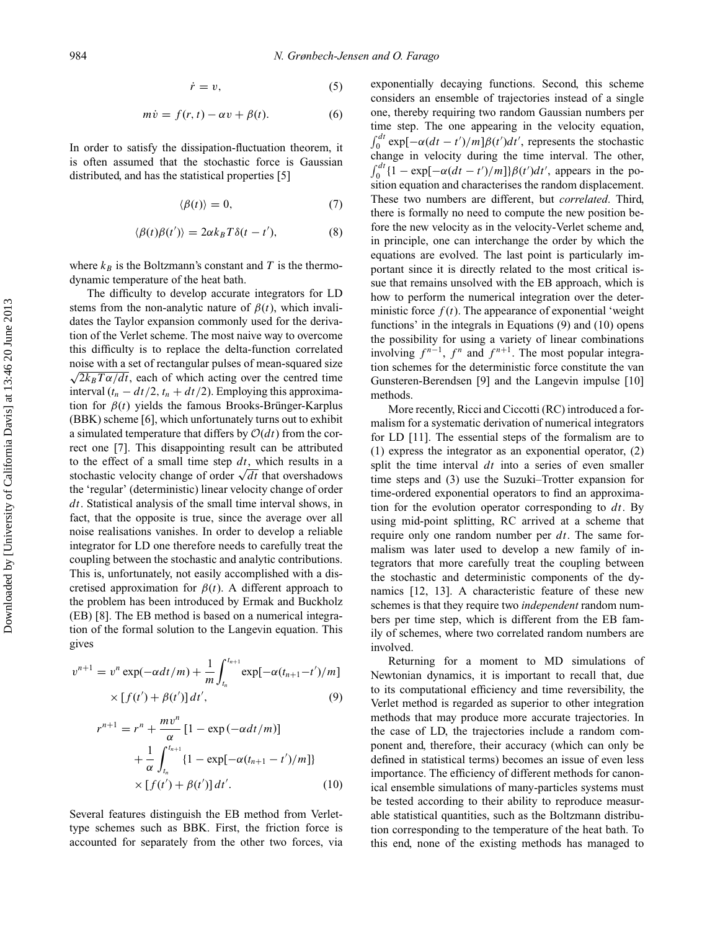$$
\dot{r} = v,\tag{5}
$$

$$
m\dot{v} = f(r, t) - \alpha v + \beta(t). \tag{6}
$$

In order to satisfy the dissipation-fluctuation theorem, it is often assumed that the stochastic force is Gaussian distributed, and has the statistical properties [5]

$$
\langle \beta(t) \rangle = 0, \tag{7}
$$

$$
\langle \beta(t)\beta(t')\rangle = 2\alpha k_B T \delta(t - t'),\tag{8}
$$

where  $k_B$  is the Boltzmann's constant and  $T$  is the thermodynamic temperature of the heat bath.

The difficulty to develop accurate integrators for LD stems from the non-analytic nature of  $\beta(t)$ , which invalidates the Taylor expansion commonly used for the derivation of the Verlet scheme. The most naive way to overcome this difficulty is to replace the delta-function correlated noise with a set of rectangular pulses of mean-squared size  $\sqrt{2k_BT\alpha/dt}$ , each of which acting over the centred time interval  $(t_n - dt/2, t_n + dt/2)$ . Employing this approximation for  $\beta(t)$  yields the famous Brooks-Brünger-Karplus (BBK) scheme [6], which unfortunately turns out to exhibit a simulated temperature that differs by  $O(dt)$  from the correct one [7]. This disappointing result can be attributed to the effect of a small time step *dt*, which results in a stochastic velocity change of order  $\sqrt{dt}$  that overshadows the 'regular' (deterministic) linear velocity change of order *dt*. Statistical analysis of the small time interval shows, in fact, that the opposite is true, since the average over all noise realisations vanishes. In order to develop a reliable integrator for LD one therefore needs to carefully treat the coupling between the stochastic and analytic contributions. This is, unfortunately, not easily accomplished with a discretised approximation for  $\beta(t)$ . A different approach to the problem has been introduced by Ermak and Buckholz (EB) [8]. The EB method is based on a numerical integration of the formal solution to the Langevin equation. This gives

$$
v^{n+1} = v^n \exp(-\alpha dt/m) + \frac{1}{m} \int_{t_n}^{t_{n+1}} \exp[-\alpha (t_{n+1} - t')/m]
$$

$$
\times [f(t') + \beta(t')] dt', \tag{9}
$$

$$
r^{n+1} = r^n + \frac{mv^n}{\alpha} [1 - \exp(-\alpha dt/m)]
$$
  
+ 
$$
\frac{1}{\alpha} \int_{t_n}^{t_{n+1}} \{1 - \exp[-\alpha(t_{n+1} - t')/m]\}
$$
  
× 
$$
[f(t') + \beta(t')] dt'.
$$
 (10)

Several features distinguish the EB method from Verlettype schemes such as BBK. First, the friction force is accounted for separately from the other two forces, via exponentially decaying functions. Second, this scheme considers an ensemble of trajectories instead of a single one, thereby requiring two random Gaussian numbers per time step. The one appearing in the velocity equation,  $\int_0^{dt} \exp[-\alpha(dt - t')/m]\beta(t')dt'$ , represents the stochastic change in velocity during the time interval. The other,  $\int_0^{dt} \{1 - \exp[-\alpha(dt - t')/m]\}\beta(t')dt'$ , appears in the position equation and characterises the random displacement. These two numbers are different, but *correlated*. Third, there is formally no need to compute the new position before the new velocity as in the velocity-Verlet scheme and, in principle, one can interchange the order by which the equations are evolved. The last point is particularly important since it is directly related to the most critical issue that remains unsolved with the EB approach, which is how to perform the numerical integration over the deterministic force  $f(t)$ . The appearance of exponential 'weight functions' in the integrals in Equations (9) and (10) opens the possibility for using a variety of linear combinations involving  $f^{n-1}$ ,  $f^n$  and  $f^{n+1}$ . The most popular integration schemes for the deterministic force constitute the van Gunsteren-Berendsen [9] and the Langevin impulse [10] methods.

More recently, Ricci and Ciccotti (RC) introduced a formalism for a systematic derivation of numerical integrators for LD [11]. The essential steps of the formalism are to (1) express the integrator as an exponential operator, (2) split the time interval *dt* into a series of even smaller time steps and (3) use the Suzuki–Trotter expansion for time-ordered exponential operators to find an approximation for the evolution operator corresponding to *dt*. By using mid-point splitting, RC arrived at a scheme that require only one random number per *dt*. The same formalism was later used to develop a new family of integrators that more carefully treat the coupling between the stochastic and deterministic components of the dynamics [12, 13]. A characteristic feature of these new schemes is that they require two *independent* random numbers per time step, which is different from the EB family of schemes, where two correlated random numbers are involved.

Returning for a moment to MD simulations of Newtonian dynamics, it is important to recall that, due to its computational efficiency and time reversibility, the Verlet method is regarded as superior to other integration methods that may produce more accurate trajectories. In the case of LD, the trajectories include a random component and, therefore, their accuracy (which can only be defined in statistical terms) becomes an issue of even less importance. The efficiency of different methods for canonical ensemble simulations of many-particles systems must be tested according to their ability to reproduce measurable statistical quantities, such as the Boltzmann distribution corresponding to the temperature of the heat bath. To this end, none of the existing methods has managed to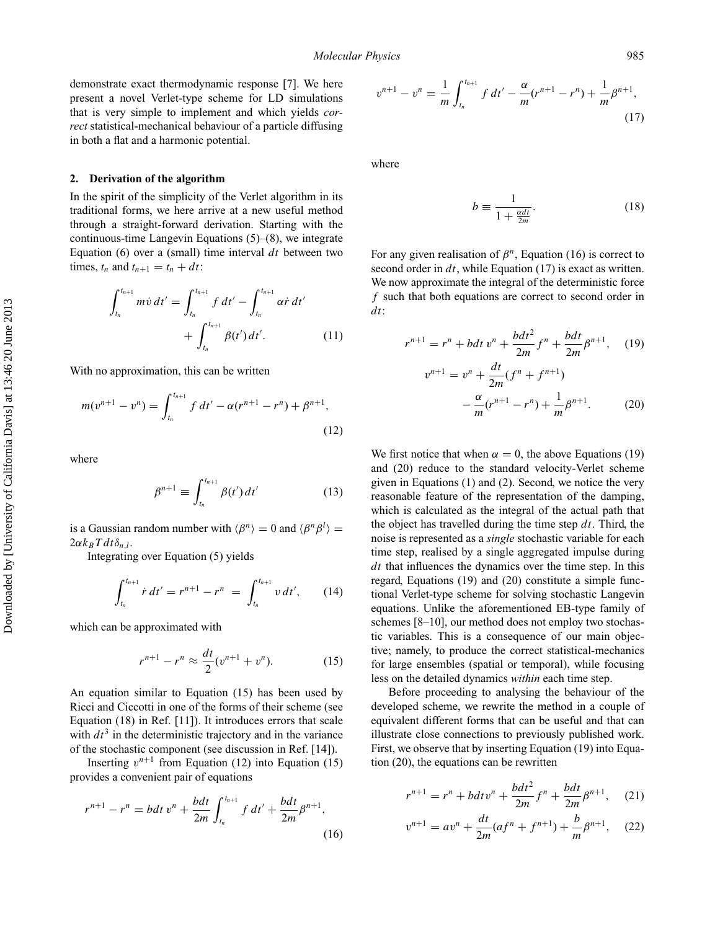demonstrate exact thermodynamic response [7]. We here present a novel Verlet-type scheme for LD simulations that is very simple to implement and which yields *correct* statistical-mechanical behaviour of a particle diffusing in both a flat and a harmonic potential.

### **2. Derivation of the algorithm**

In the spirit of the simplicity of the Verlet algorithm in its traditional forms, we here arrive at a new useful method through a straight-forward derivation. Starting with the continuous-time Langevin Equations (5)–(8), we integrate Equation (6) over a (small) time interval *dt* between two times,  $t_n$  and  $t_{n+1} = t_n + dt$ :

$$
\int_{t_n}^{t_{n+1}} m\dot{v} dt' = \int_{t_n}^{t_{n+1}} f dt' - \int_{t_n}^{t_{n+1}} \alpha \dot{r} dt' + \int_{t_n}^{t_{n+1}} \beta(t') dt'.
$$
 (11)

With no approximation, this can be written

$$
m(v^{n+1} - v^n) = \int_{t_n}^{t_{n+1}} f \, dt' - \alpha (r^{n+1} - r^n) + \beta^{n+1},\tag{12}
$$

where

$$
\beta^{n+1} \equiv \int_{t_n}^{t_{n+1}} \beta(t') dt' \tag{13}
$$

is a Gaussian random number with  $\langle \beta^n \rangle = 0$  and  $\langle \beta^n \beta^l \rangle =$  $2\alpha k_B T dt \delta_{n,l}$ .

Integrating over Equation (5) yields

$$
\int_{t_n}^{t_{n+1}} \dot{r} \, dt' = r^{n+1} - r^n = \int_{t_n}^{t_{n+1}} v \, dt', \qquad (14)
$$

which can be approximated with

$$
r^{n+1} - r^n \approx \frac{dt}{2} (v^{n+1} + v^n). \tag{15}
$$

An equation similar to Equation (15) has been used by Ricci and Ciccotti in one of the forms of their scheme (see Equation (18) in Ref. [11]). It introduces errors that scale with  $dt^3$  in the deterministic trajectory and in the variance of the stochastic component (see discussion in Ref. [14]).

Inserting  $v^{n+1}$  from Equation (12) into Equation (15) provides a convenient pair of equations

$$
r^{n+1} - r^n = bdt v^n + \frac{bdt}{2m} \int_{t_n}^{t_{n+1}} f dt' + \frac{bdt}{2m} \beta^{n+1},
$$
\n(16)

$$
v^{n+1} - v^n = \frac{1}{m} \int_{t_n}^{t_{n+1}} f \, dt' - \frac{\alpha}{m} (r^{n+1} - r^n) + \frac{1}{m} \beta^{n+1},\tag{17}
$$

where

$$
b \equiv \frac{1}{1 + \frac{\alpha d t}{2m}}.\tag{18}
$$

For any given realisation of  $\beta^n$ , Equation (16) is correct to second order in *dt*, while Equation (17) is exact as written. We now approximate the integral of the deterministic force *f* such that both equations are correct to second order in *dt*:

$$
r^{n+1} = r^n + bdt v^n + \frac{bdt^2}{2m} f^n + \frac{bdt}{2m} \beta^{n+1}, \quad (19)
$$

$$
v^{n+1} = v^n + \frac{dt}{2m} (f^n + f^{n+1})
$$

$$
- \frac{\alpha}{m} (r^{n+1} - r^n) + \frac{1}{m} \beta^{n+1}.
$$
 (20)

We first notice that when  $\alpha = 0$ , the above Equations (19) and (20) reduce to the standard velocity-Verlet scheme given in Equations (1) and (2). Second, we notice the very reasonable feature of the representation of the damping, which is calculated as the integral of the actual path that the object has travelled during the time step *dt*. Third, the noise is represented as a *single* stochastic variable for each time step, realised by a single aggregated impulse during *dt* that influences the dynamics over the time step. In this regard, Equations (19) and (20) constitute a simple functional Verlet-type scheme for solving stochastic Langevin equations. Unlike the aforementioned EB-type family of schemes [8–10], our method does not employ two stochastic variables. This is a consequence of our main objective; namely, to produce the correct statistical-mechanics for large ensembles (spatial or temporal), while focusing less on the detailed dynamics *within* each time step.

Before proceeding to analysing the behaviour of the developed scheme, we rewrite the method in a couple of equivalent different forms that can be useful and that can illustrate close connections to previously published work. First, we observe that by inserting Equation (19) into Equation (20), the equations can be rewritten

$$
r^{n+1} = r^n + bdt v^n + \frac{bdt^2}{2m} f^n + \frac{bdt}{2m} \beta^{n+1}, \quad (21)
$$

$$
v^{n+1} = av^n + \frac{dt}{2m}(af^n + f^{n+1}) + \frac{b}{m}\beta^{n+1}, \quad (22)
$$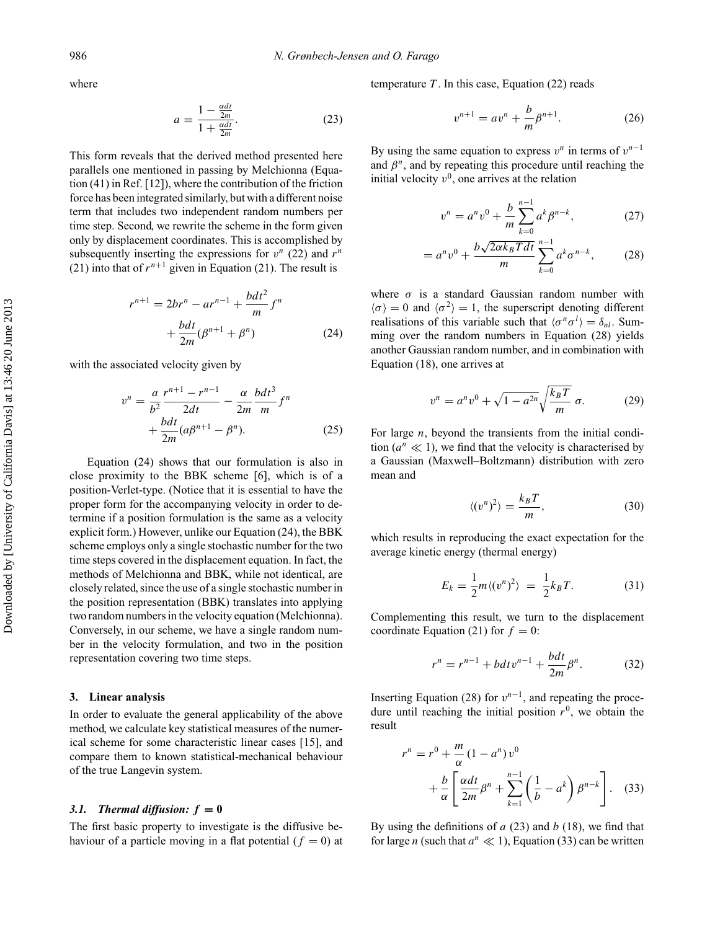where

$$
a \equiv \frac{1 - \frac{\alpha dt}{2m}}{1 + \frac{\alpha dt}{2m}}.\tag{23}
$$

This form reveals that the derived method presented here parallels one mentioned in passing by Melchionna (Equation (41) in Ref. [12]), where the contribution of the friction force has been integrated similarly, but with a different noise term that includes two independent random numbers per time step. Second, we rewrite the scheme in the form given only by displacement coordinates. This is accomplished by subsequently inserting the expressions for  $v^n$  (22) and  $r^n$ (21) into that of  $r^{n+1}$  given in Equation (21). The result is

$$
r^{n+1} = 2br^{n} - ar^{n-1} + \frac{bdt^{2}}{m}f^{n} + \frac{bdt}{2m}(\beta^{n+1} + \beta^{n})
$$
 (24)

with the associated velocity given by

$$
v^{n} = \frac{a}{b^{2}} \frac{r^{n+1} - r^{n-1}}{2dt} - \frac{\alpha}{2m} \frac{b dt^{3}}{m} f^{n} + \frac{b dt}{2m} (a \beta^{n+1} - \beta^{n}).
$$
 (25)

Equation (24) shows that our formulation is also in close proximity to the BBK scheme [6], which is of a position-Verlet-type. (Notice that it is essential to have the proper form for the accompanying velocity in order to determine if a position formulation is the same as a velocity explicit form.) However, unlike our Equation (24), the BBK scheme employs only a single stochastic number for the two time steps covered in the displacement equation. In fact, the methods of Melchionna and BBK, while not identical, are closely related, since the use of a single stochastic number in the position representation (BBK) translates into applying two random numbers in the velocity equation (Melchionna). Conversely, in our scheme, we have a single random number in the velocity formulation, and two in the position representation covering two time steps.

# **3. Linear analysis**

In order to evaluate the general applicability of the above method, we calculate key statistical measures of the numerical scheme for some characteristic linear cases [15], and compare them to known statistical-mechanical behaviour of the true Langevin system.

## *3.1. Thermal diffusion:*  $f = 0$

The first basic property to investigate is the diffusive behaviour of a particle moving in a flat potential  $(f = 0)$  at temperature  $T$ . In this case, Equation (22) reads

$$
v^{n+1} = av^n + \frac{b}{m}\beta^{n+1}.
$$
 (26)

By using the same equation to express  $v^n$  in terms of  $v^{n-1}$ and  $\beta^n$ , and by repeating this procedure until reaching the initial velocity  $v^0$ , one arrives at the relation

$$
v^{n} = a^{n}v^{0} + \frac{b}{m}\sum_{k=0}^{n-1} a^{k}\beta^{n-k},
$$
 (27)

$$
= a^n v^0 + \frac{b\sqrt{2\alpha k_B T dt}}{m} \sum_{k=0}^{n-1} a^k \sigma^{n-k},
$$
 (28)

where  $\sigma$  is a standard Gaussian random number with  $\langle \sigma \rangle = 0$  and  $\langle \sigma^2 \rangle = 1$ , the superscript denoting different realisations of this variable such that  $\langle \sigma^n \sigma^l \rangle = \delta_{nl}$ . Summing over the random numbers in Equation (28) yields another Gaussian random number, and in combination with Equation (18), one arrives at

$$
v^n = a^n v^0 + \sqrt{1 - a^{2n}} \sqrt{\frac{k_B T}{m}} \sigma.
$$
 (29)

For large *n*, beyond the transients from the initial condition  $(a^n \ll 1)$ , we find that the velocity is characterised by a Gaussian (Maxwell–Boltzmann) distribution with zero mean and

$$
\langle (v^n)^2 \rangle = \frac{k_B T}{m},\tag{30}
$$

which results in reproducing the exact expectation for the average kinetic energy (thermal energy)

$$
E_k = \frac{1}{2}m \langle (v^n)^2 \rangle = \frac{1}{2} k_B T. \tag{31}
$$

Complementing this result, we turn to the displacement coordinate Equation (21) for  $f = 0$ :

$$
r^{n} = r^{n-1} + b dt v^{n-1} + \frac{b dt}{2m} \beta^{n}.
$$
 (32)

Inserting Equation (28) for *vn*<sup>−</sup>1, and repeating the procedure until reaching the initial position  $r<sup>0</sup>$ , we obtain the result

$$
r^{n} = r^{0} + \frac{m}{\alpha} (1 - a^{n}) v^{0}
$$
  
+  $\frac{b}{\alpha} \left[ \frac{\alpha dt}{2m} \beta^{n} + \sum_{k=1}^{n-1} \left( \frac{1}{b} - a^{k} \right) \beta^{n-k} \right].$  (33)

By using the definitions of *a* (23) and *b* (18), we find that for large *n* (such that  $a^n \ll 1$ ), Equation (33) can be written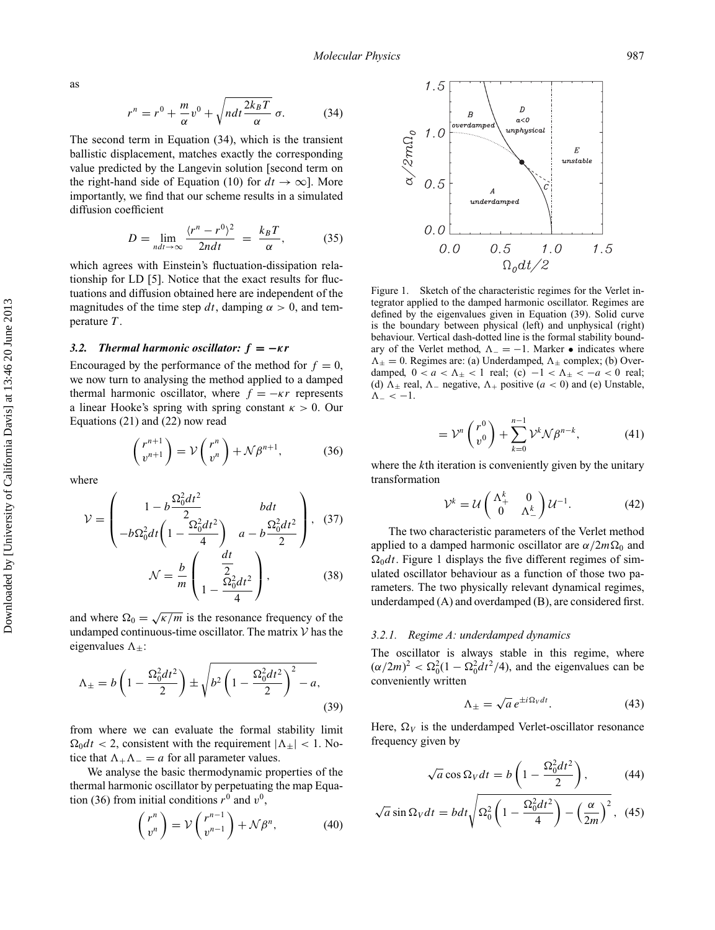as

$$
r^{n} = r^{0} + \frac{m}{\alpha}v^{0} + \sqrt{ndt \frac{2k_{B}T}{\alpha}} \sigma.
$$
 (34)

The second term in Equation (34), which is the transient ballistic displacement, matches exactly the corresponding value predicted by the Langevin solution [second term on the right-hand side of Equation (10) for  $dt \to \infty$ . More importantly, we find that our scheme results in a simulated diffusion coefficient

$$
D = \lim_{ndt \to \infty} \frac{\langle r^n - r^0 \rangle^2}{2ndt} = \frac{k_B T}{\alpha}, \quad (35)
$$

which agrees with Einstein's fluctuation-dissipation relationship for LD [5]. Notice that the exact results for fluctuations and diffusion obtained here are independent of the magnitudes of the time step  $dt$ , damping  $\alpha > 0$ , and temperature *T* .

# *3.2. Thermal harmonic oscillator:*  $f = -\kappa r$

Encouraged by the performance of the method for  $f = 0$ , we now turn to analysing the method applied to a damped thermal harmonic oscillator, where  $f = -\kappa r$  represents a linear Hooke's spring with spring constant *κ >* 0. Our Equations (21) and (22) now read

$$
\begin{pmatrix} r^{n+1} \\ v^{n+1} \end{pmatrix} = \mathcal{V} \begin{pmatrix} r^n \\ v^n \end{pmatrix} + \mathcal{N} \beta^{n+1}, \tag{36}
$$

where

$$
\mathcal{V} = \begin{pmatrix} 1 - b \frac{\Omega_0^2 dt^2}{2} & b dt \\ -b \Omega_0^2 dt \left( 1 - \frac{\Omega_0^2 dt^2}{4} \right) & a - b \frac{\Omega_0^2 dt^2}{2} \end{pmatrix}, \quad (37)
$$

$$
\mathcal{N} = \frac{b}{m} \begin{pmatrix} \frac{dt}{2} \\ \frac{\Omega_0^2 dt^2}{4} \end{pmatrix}, \quad (38)
$$

and where  $\Omega_0 = \sqrt{\frac{\kappa}{m}}$  is the resonance frequency of the undamped continuous-time oscillator. The matrix *V* has the eigenvalues  $\Lambda_{\pm}$ :

$$
\Lambda_{\pm} = b \left( 1 - \frac{\Omega_0^2 dt^2}{2} \right) \pm \sqrt{b^2 \left( 1 - \frac{\Omega_0^2 dt^2}{2} \right)^2 - a},
$$
\n(39)

from where we can evaluate the formal stability limit  $\Omega_0 dt$  < 2, consistent with the requirement  $|\Lambda_+|$  < 1. Notice that  $\Lambda_+ \Lambda_- = a$  for all parameter values.

We analyse the basic thermodynamic properties of the thermal harmonic oscillator by perpetuating the map Equation (36) from initial conditions  $r^0$  and  $v^0$ ,

$$
\begin{pmatrix} r^n \\ v^n \end{pmatrix} = \mathcal{V} \begin{pmatrix} r^{n-1} \\ v^{n-1} \end{pmatrix} + \mathcal{N} \beta^n, \tag{40}
$$



Figure 1. Sketch of the characteristic regimes for the Verlet integrator applied to the damped harmonic oscillator. Regimes are defined by the eigenvalues given in Equation (39). Solid curve is the boundary between physical (left) and unphysical (right) behaviour. Vertical dash-dotted line is the formal stability boundary of the Verlet method,  $\Lambda$ <sub>−</sub> = −1. Marker • indicates where  $\Lambda_{\pm} = 0$ . Regimes are: (a) Underdamped,  $\Lambda_{\pm}$  complex; (b) Overdamped,  $0 < a < \Lambda_{\pm} < 1$  real; (c)  $-1 < \Lambda_{\pm} < -a < 0$  real; (d)  $\Lambda_{\pm}$  real,  $\Lambda_{-}$  negative,  $\Lambda_{+}$  positive (*a* < 0) and (e) Unstable,  $\Lambda_- < -1.$ 

$$
= \mathcal{V}^n \begin{pmatrix} r^0 \\ v^0 \end{pmatrix} + \sum_{k=0}^{n-1} \mathcal{V}^k \mathcal{N} \beta^{n-k}, \tag{41}
$$

where the *k*th iteration is conveniently given by the unitary transformation

$$
\mathcal{V}^k = \mathcal{U} \begin{pmatrix} \Lambda_+^k & 0 \\ 0 & \Lambda_-^k \end{pmatrix} \mathcal{U}^{-1}.
$$
 (42)

The two characteristic parameters of the Verlet method applied to a damped harmonic oscillator are  $\alpha/2m\Omega_0$  and  $\Omega_0 dt$ . Figure 1 displays the five different regimes of simulated oscillator behaviour as a function of those two parameters. The two physically relevant dynamical regimes, underdamped (A) and overdamped (B), are considered first.

## *3.2.1. Regime A: underdamped dynamics*

The oscillator is always stable in this regime, where  $(\alpha/2m)^2 < \Omega_0^2(1 - \Omega_0^2 dt^2/4)$ , and the eigenvalues can be conveniently written

$$
\Lambda_{\pm} = \sqrt{a} \, e^{\pm i\Omega_V dt}.\tag{43}
$$

Here,  $\Omega_V$  is the underdamped Verlet-oscillator resonance frequency given by

$$
\sqrt{a}\cos\Omega_V dt = b\left(1 - \frac{\Omega_0^2 dt^2}{2}\right),\tag{44}
$$

$$
\sqrt{a}\sin\Omega_V dt = bdt\sqrt{\Omega_0^2\left(1 - \frac{\Omega_0^2 dt^2}{4}\right) - \left(\frac{\alpha}{2m}\right)^2},
$$
 (45)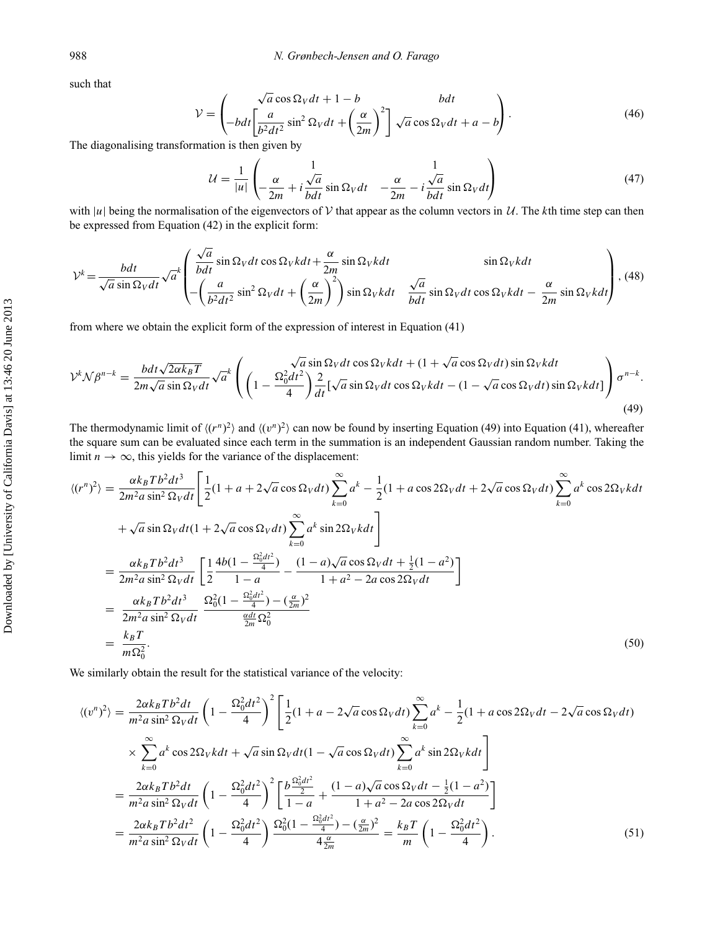such that

$$
\mathcal{V} = \begin{pmatrix} \sqrt{a}\cos\Omega_V dt + 1 - b & bdt \\ -bdt \left[ \frac{a}{b^2 dt^2} \sin^2\Omega_V dt + \left( \frac{\alpha}{2m} \right)^2 \right] \sqrt{a}\cos\Omega_V dt + a - b \end{pmatrix}.
$$
 (46)

The diagonalising transformation is then given by

$$
\mathcal{U} = \frac{1}{|u|} \left( -\frac{\alpha}{2m} + i \frac{\sqrt{a}}{bdt} \sin \Omega_V dt - \frac{\alpha}{2m} - i \frac{\sqrt{a}}{bdt} \sin \Omega_V dt \right)
$$
(47)

with | $u$ | being the normalisation of the eigenvectors of  $V$  that appear as the column vectors in  $U$ . The *k*th time step can then be expressed from Equation (42) in the explicit form:

$$
\mathcal{V}^{k} = \frac{bdt}{\sqrt{a}\sin\Omega_{V}dt} \sqrt{a^{k}} \left( \frac{\frac{\sqrt{a}}{bdt}\sin\Omega_{V}dt\cos\Omega_{V}kdt + \frac{\alpha}{2m}\sin\Omega_{V}kdt \right) \sin\Omega_{V}kdt \sin\Omega_{V}kdt + \left(\frac{a}{2m}\right)^{2}\sin\Omega_{V}kdt + \left(\frac{\alpha}{2m}\right)^{2}\sin\Omega_{V}kdt \frac{\sqrt{a}}{bdt}\sin\Omega_{V}dt \cos\Omega_{V}kdt - \frac{\alpha}{2m}\sin\Omega_{V}kdt \right), \tag{48}
$$

from where we obtain the explicit form of the expression of interest in Equation (41)

$$
\mathcal{V}^{k}\mathcal{N}\beta^{n-k} = \frac{bdt\sqrt{2\alpha k_B T}}{2m\sqrt{a}\sin\Omega_V dt} \sqrt{a}^{k} \left( \left( 1 - \frac{\Omega_0^2 dt^2}{4} \right) \frac{2}{dt} [\sqrt{a}\sin\Omega_V dt \cos\Omega_V k dt - (1 - \sqrt{a}\cos\Omega_V dt)\sin\Omega_V k dt \right) \sigma^{n-k}.
$$
\n(49)

The thermodynamic limit of  $\langle (r^n)^2 \rangle$  and  $\langle (v^n)^2 \rangle$  can now be found by inserting Equation (49) into Equation (41), whereafter the square sum can be evaluated since each term in the summation is an independent Gaussian random number. Taking the limit  $n \to \infty$ , this yields for the variance of the displacement:

$$
\langle (r^n)^2 \rangle = \frac{\alpha k_B T b^2 dt^3}{2m^2 a \sin^2 \Omega_V dt} \left[ \frac{1}{2} (1 + a + 2\sqrt{a} \cos \Omega_V dt) \sum_{k=0}^{\infty} a^k - \frac{1}{2} (1 + a \cos 2\Omega_V dt + 2\sqrt{a} \cos \Omega_V dt) \sum_{k=0}^{\infty} a^k \cos 2\Omega_V kt \right]
$$
  
+  $\sqrt{a} \sin \Omega_V dt (1 + 2\sqrt{a} \cos \Omega_V dt) \sum_{k=0}^{\infty} a^k \sin 2\Omega_V kt \right]$   
=  $\frac{\alpha k_B T b^2 dt^3}{2m^2 a \sin^2 \Omega_V dt} \left[ \frac{1}{2} \frac{4b(1 - \frac{\Omega_0^2 dt^2}{4})}{1 - a} - \frac{(1 - a)\sqrt{a} \cos \Omega_V dt + \frac{1}{2} (1 - a^2)}{1 + a^2 - 2a \cos 2\Omega_V dt} \right]$   
=  $\frac{\alpha k_B T b^2 dt^3}{2m^2 a \sin^2 \Omega_V dt} \frac{\Omega_0^2 (1 - \frac{\Omega_0^2 dt^2}{4}) - (\frac{\alpha}{2m})^2}{\frac{\alpha dt}{2m} \Omega_0^2}$   
=  $\frac{k_B T}{m \Omega_0^2}$ . (50)

We similarly obtain the result for the statistical variance of the velocity:

$$
\langle (v^n)^2 \rangle = \frac{2\alpha k_B T b^2 dt}{m^2 a \sin^2 \Omega_V dt} \left( 1 - \frac{\Omega_0^2 dt^2}{4} \right)^2 \left[ \frac{1}{2} (1 + a - 2\sqrt{a} \cos \Omega_V dt) \sum_{k=0}^{\infty} a^k - \frac{1}{2} (1 + a \cos 2\Omega_V dt - 2\sqrt{a} \cos \Omega_V dt) \right]
$$
  
\n
$$
\times \sum_{k=0}^{\infty} a^k \cos 2\Omega_V k dt + \sqrt{a} \sin \Omega_V dt (1 - \sqrt{a} \cos \Omega_V dt) \sum_{k=0}^{\infty} a^k \sin 2\Omega_V k dt \right]
$$
  
\n
$$
= \frac{2\alpha k_B T b^2 dt}{m^2 a \sin^2 \Omega_V dt} \left( 1 - \frac{\Omega_0^2 dt^2}{4} \right)^2 \left[ \frac{b \frac{\Omega_0^2 dt^2}{2}}{1 - a} + \frac{(1 - a)\sqrt{a} \cos \Omega_V dt - \frac{1}{2} (1 - a^2)}{1 + a^2 - 2a \cos 2\Omega_V dt} \right]
$$
  
\n
$$
= \frac{2\alpha k_B T b^2 dt^2}{m^2 a \sin^2 \Omega_V dt} \left( 1 - \frac{\Omega_0^2 dt^2}{4} \right) \frac{\Omega_0^2 (1 - \frac{\Omega_0^2 dt^2}{4}) - (\frac{\alpha}{2m})^2}{4 \frac{\alpha}{2m}} = \frac{k_B T}{m} \left( 1 - \frac{\Omega_0^2 dt^2}{4} \right).
$$
 (51)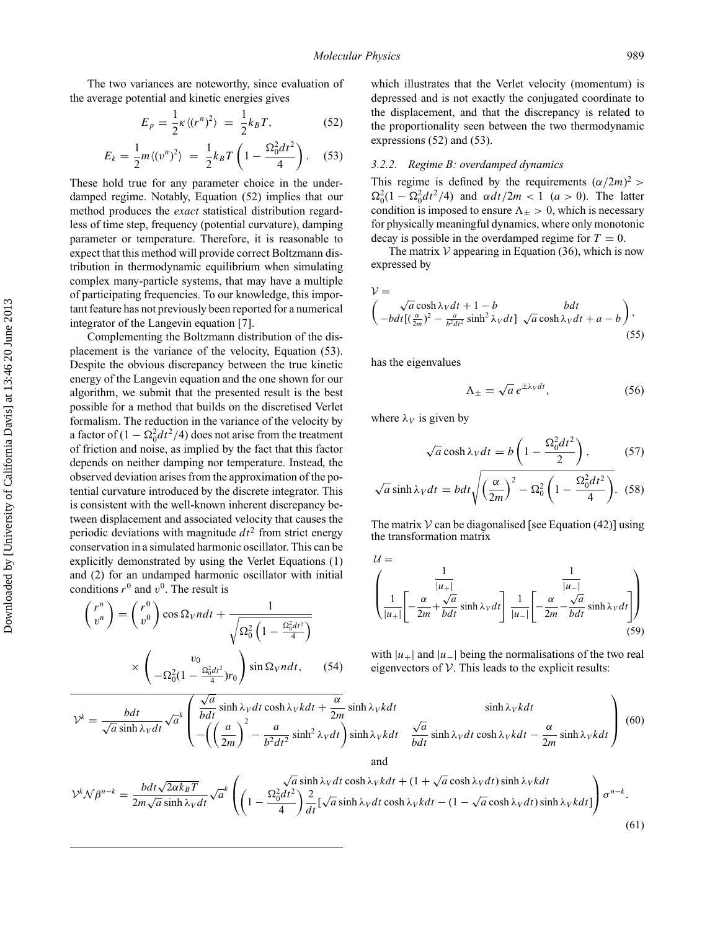The two variances are noteworthy, since evaluation of the average potential and kinetic energies gives

$$
E_p = \frac{1}{2} \kappa \langle (r^n)^2 \rangle = \frac{1}{2} k_B T, \tag{52}
$$

$$
E_k = \frac{1}{2} m \langle (v^n)^2 \rangle = \frac{1}{2} k_B T \left( 1 - \frac{\Omega_0^2 dt^2}{4} \right). \quad (53)
$$

These hold true for any parameter choice in the underdamped regime. Notably, Equation (52) implies that our method produces the *exact* statistical distribution regardless of time step, frequency (potential curvature), damping parameter or temperature. Therefore, it is reasonable to expect that this method will provide correct Boltzmann distribution in thermodynamic equilibrium when simulating complex many-particle systems, that may have a multiple of participating frequencies. To our knowledge, this important feature has not previously been reported for a numerical integrator of the Langevin equation [7].

Complementing the Boltzmann distribution of the displacement is the variance of the velocity, Equation (53). Despite the obvious discrepancy between the true kinetic energy of the Langevin equation and the one shown for our algorithm, we submit that the presented result is the best possible for a method that builds on the discretised Verlet formalism. The reduction in the variance of the velocity by a factor of  $(1 - \Omega_0^2 dt^2/4)$  does not arise from the treatment of friction and noise, as implied by the fact that this factor depends on neither damping nor temperature. Instead, the observed deviation arises from the approximation of the potential curvature introduced by the discrete integrator. This is consistent with the well-known inherent discrepancy between displacement and associated velocity that causes the periodic deviations with magnitude  $dt^2$  from strict energy conservation in a simulated harmonic oscillator. This can be explicitly demonstrated by using the Verlet Equations (1) and (2) for an undamped harmonic oscillator with initial conditions  $r^0$  and  $v^0$ . The result is

$$
\begin{pmatrix} r^n \\ v^n \end{pmatrix} = \begin{pmatrix} r^0 \\ v^0 \end{pmatrix} \cos \Omega_V n dt + \frac{1}{\sqrt{\Omega_0^2 \left(1 - \frac{\Omega_0^2 dt^2}{4}\right)}} \times \begin{pmatrix} v_0 \\ -\Omega_0^2 (1 - \frac{\Omega_0^2 dt^2}{4}) r_0 \end{pmatrix} \sin \Omega_V n dt, \qquad (54)
$$

which illustrates that the Verlet velocity (momentum) is depressed and is not exactly the conjugated coordinate to the displacement, and that the discrepancy is related to the proportionality seen between the two thermodynamic expressions (52) and (53).

## *3.2.2. Regime B: overdamped dynamics*

This regime is defined by the requirements  $(\alpha/2m)^2$  >  $\Omega_0^2(1 - \Omega_0^2 dt^2/4)$  and  $\alpha dt / 2m < 1$  (*a* > 0). The latter condition is imposed to ensure  $\Lambda_{\pm} > 0$ , which is necessary for physically meaningful dynamics, where only monotonic decay is possible in the overdamped regime for  $T = 0$ .

The matrix  $V$  appearing in Equation (36), which is now expressed by

$$
\mathcal{V} = \n\begin{pmatrix}\n\sqrt{a} \cosh \lambda_V dt + 1 - b & b dt \\
-\frac{\sqrt{a} \cosh \lambda_V dt + 1 - b}{b^2 d t^2} \sinh^2 \lambda_V dt & \sqrt{a} \cosh \lambda_V dt + a - b\n\end{pmatrix},
$$
\n(55)

has the eigenvalues

$$
\Lambda_{\pm} = \sqrt{a} \, e^{\pm \lambda_V dt},\tag{56}
$$

where  $\lambda_V$  is given by

$$
\sqrt{a} \cosh \lambda_V dt = b \left( 1 - \frac{\Omega_0^2 dt^2}{2} \right), \tag{57}
$$

$$
\sqrt{a}\sinh\lambda_V dt = bdt\sqrt{\left(\frac{\alpha}{2m}\right)^2 - \Omega_0^2\left(1 - \frac{\Omega_0^2 dt^2}{4}\right)}.
$$
 (58)

The matrix  $V$  can be diagonalised [see Equation (42)] using the transformation matrix

$$
\mathcal{U} = \left(\frac{1}{|u_+|}\left[-\frac{\alpha}{2m} + \frac{\sqrt{a}}{bdt}\sinh \lambda_V dt\right] \frac{1}{|u_-|}\left[-\frac{\alpha}{2m} - \frac{\sqrt{a}}{bdt}\sinh \lambda_V dt\right]\right)
$$
\n(59)

with  $|u_+|$  and  $|u_-|$  being the normalisations of the two real eigenvectors of  $V$ . This leads to the explicit results:

$$
\mathcal{V}^{k} = \frac{bdt}{\sqrt{a}\sinh\lambda_{V}dt} \sqrt{a^{k}} \begin{pmatrix} \frac{\sqrt{a}}{bdt}\sinh\lambda_{V}dt\cosh\lambda_{V}kdt + \frac{\alpha}{2m}\sinh\lambda_{V}kdt & \sinh\lambda_{V}kdt \\ -\left(\left(\frac{a}{2m}\right)^{2} - \frac{a}{b^{2}dt^{2}}\sinh^{2}\lambda_{V}dt\right)\sinh\lambda_{V}kdt & \frac{\sqrt{a}}{bdt}\sinh\lambda_{V}dt\cosh\lambda_{V}kdt - \frac{\alpha}{2m}\sinh\lambda_{V}kdt \end{pmatrix}
$$
(60) and

$$
\mathcal{V}^{k}\mathcal{N}\beta^{n-k} = \frac{bdt\sqrt{2\alpha k_B T}}{2m\sqrt{a}\sinh\lambda_V dt} \sqrt{a}^{k} \left( \left( 1 - \frac{\Omega_0^2 dt^2}{4} \right) \frac{2}{dt} \left[ \sqrt{a}\sinh\lambda_V dt \cosh\lambda_V k dt - (1 - \sqrt{a}\cosh\lambda_V dt)\sinh\lambda_V k dt \right] \right) \sigma^{n-k}.
$$
\n(61)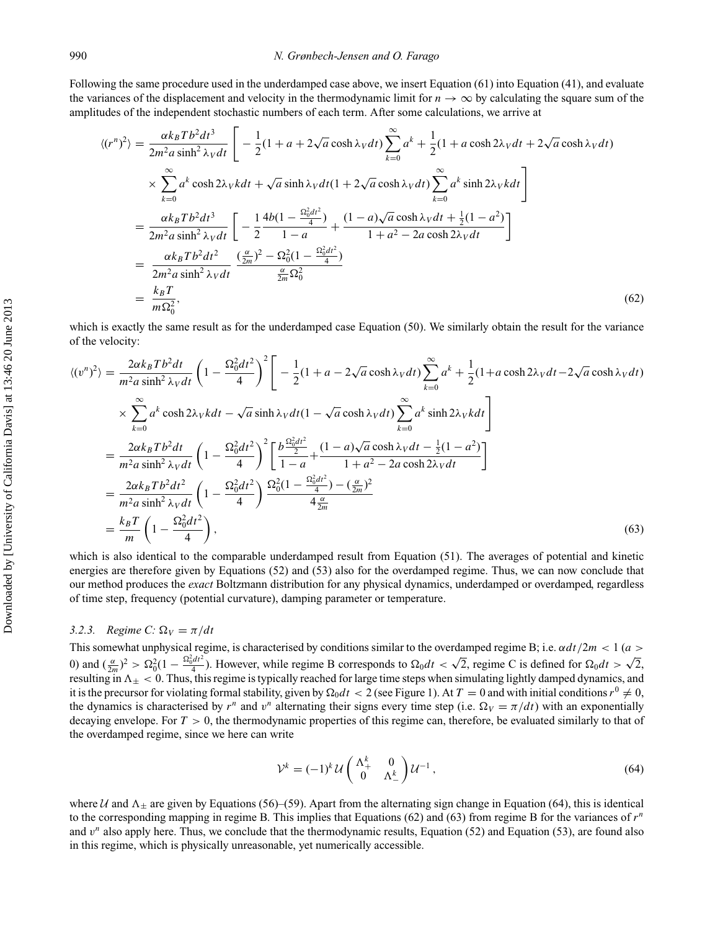Following the same procedure used in the underdamped case above, we insert Equation (61) into Equation (41), and evaluate the variances of the displacement and velocity in the thermodynamic limit for  $n \to \infty$  by calculating the square sum of the amplitudes of the independent stochastic numbers of each term. After some calculations, we arrive at

$$
\langle (r^n)^2 \rangle = \frac{\alpha k_B T b^2 dt^3}{2m^2 a \sinh^2 \lambda_V dt} \left[ -\frac{1}{2} (1 + a + 2\sqrt{a} \cosh \lambda_V dt) \sum_{k=0}^{\infty} a^k + \frac{1}{2} (1 + a \cosh 2\lambda_V dt + 2\sqrt{a} \cosh \lambda_V dt) \right]
$$
  
\n
$$
\times \sum_{k=0}^{\infty} a^k \cosh 2\lambda_V k dt + \sqrt{a} \sinh \lambda_V dt (1 + 2\sqrt{a} \cosh \lambda_V dt) \sum_{k=0}^{\infty} a^k \sinh 2\lambda_V k dt
$$
  
\n
$$
= \frac{\alpha k_B T b^2 dt^3}{2m^2 a \sinh^2 \lambda_V dt} \left[ -\frac{1}{2} \frac{4b(1 - \frac{\Omega_0^2 dt^2}{4})}{1 - a} + \frac{(1 - a)\sqrt{a} \cosh \lambda_V dt + \frac{1}{2} (1 - a^2)}{1 + a^2 - 2a \cosh 2\lambda_V dt} \right]
$$
  
\n
$$
= \frac{\alpha k_B T b^2 dt^2}{2m^2 a \sinh^2 \lambda_V dt} \frac{\left(\frac{\alpha}{2m}\right)^2 - \Omega_0^2 (1 - \frac{\Omega_0^2 dt^2}{4})}{\frac{\alpha}{2m} \Omega_0^2}
$$
  
\n
$$
= \frac{k_B T}{m \Omega_0^2}, \tag{62}
$$

which is exactly the same result as for the underdamped case Equation (50). We similarly obtain the result for the variance of the velocity:

$$
\langle (v^n)^2 \rangle = \frac{2\alpha k_B T b^2 dt}{m^2 a \sinh^2 \lambda_V dt} \left( 1 - \frac{\Omega_0^2 dt^2}{4} \right)^2 \left[ -\frac{1}{2} (1 + a - 2\sqrt{a} \cosh \lambda_V dt) \sum_{k=0}^{\infty} a^k + \frac{1}{2} (1 + a \cosh 2\lambda_V dt - 2\sqrt{a} \cosh \lambda_V dt) \right]
$$
  
\n
$$
\times \sum_{k=0}^{\infty} a^k \cosh 2\lambda_V k dt - \sqrt{a} \sinh \lambda_V dt (1 - \sqrt{a} \cosh \lambda_V dt) \sum_{k=0}^{\infty} a^k \sinh 2\lambda_V k dt
$$
  
\n
$$
= \frac{2\alpha k_B T b^2 dt}{m^2 a \sinh^2 \lambda_V dt} \left( 1 - \frac{\Omega_0^2 dt^2}{4} \right)^2 \left[ \frac{b \frac{\Omega_0^2 dt^2}{2}}{1 - a} + \frac{(1 - a)\sqrt{a} \cosh \lambda_V dt - \frac{1}{2} (1 - a^2)}{1 + a^2 - 2a \cosh 2\lambda_V dt} \right]
$$
  
\n
$$
= \frac{2\alpha k_B T b^2 dt^2}{m^2 a \sinh^2 \lambda_V dt} \left( 1 - \frac{\Omega_0^2 dt^2}{4} \right) \frac{\Omega_0^2 (1 - \frac{\Omega_0^2 dt^2}{4}) - (\frac{\alpha}{2m})^2}{4 \frac{\alpha}{2m}}
$$
  
\n
$$
= \frac{k_B T}{m} \left( 1 - \frac{\Omega_0^2 dt^2}{4} \right),
$$
 (63)

which is also identical to the comparable underdamped result from Equation (51). The averages of potential and kinetic energies are therefore given by Equations (52) and (53) also for the overdamped regime. Thus, we can now conclude that our method produces the *exact* Boltzmann distribution for any physical dynamics, underdamped or overdamped, regardless of time step, frequency (potential curvature), damping parameter or temperature.

# *3.2.3. Regime C:*  $\Omega_V = \pi/dt$

This somewhat unphysical regime, is characterised by conditions similar to the overdamped regime B; i.e. *αdt/*2*m <* 1 (*a >* of the overdanged regime B, i.e.  $\frac{\alpha_0}{2m}$   $\alpha_1 \leq \frac{\alpha_0}{2m}$  and  $(\frac{\alpha}{2m})^2 > \Omega_0^2 (1 - \frac{\Omega_0^2 d t^2}{4})$ . However, while regime B corresponds to  $\Omega_0 dt < \sqrt{2}$ , regime C is defined for  $\Omega_0 dt > \sqrt{2}$ , resulting in  $\Lambda$   $_+$  < 0. Thus, this regime is typically reached for large time steps when simulating lightly damped dynamics, and it is the precursor for violating formal stability, given by  $\Omega_0 dt < 2$  (see Figure 1). At  $T = 0$  and with initial conditions  $r^0 \neq 0$ , the dynamics is characterised by  $r^n$  and  $v^n$  alternating their signs every time step (i.e.  $\Omega_V = \pi/dt$ ) with an exponentially decaying envelope. For *T >* 0, the thermodynamic properties of this regime can, therefore, be evaluated similarly to that of the overdamped regime, since we here can write

$$
\mathcal{V}^k = (-1)^k \mathcal{U} \begin{pmatrix} \Lambda_+^k & 0 \\ 0 & \Lambda_-^k \end{pmatrix} \mathcal{U}^{-1},\tag{64}
$$

where *U* and  $\Lambda_{\pm}$  are given by Equations (56)–(59). Apart from the alternating sign change in Equation (64), this is identical to the corresponding mapping in regime B. This implies that Equations  $(62)$  and  $(63)$  from regime B for the variances of  $r<sup>n</sup>$ and  $v^n$  also apply here. Thus, we conclude that the thermodynamic results, Equation (52) and Equation (53), are found also in this regime, which is physically unreasonable, yet numerically accessible.